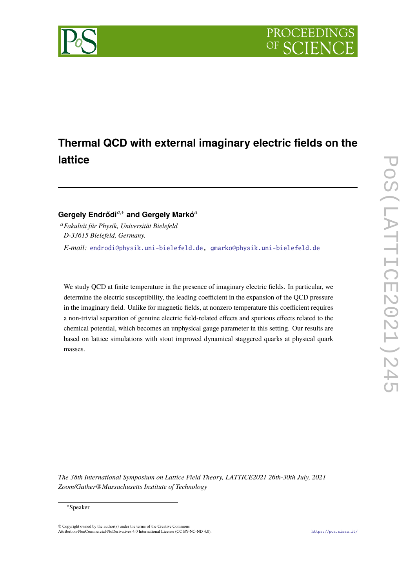

# **Thermal QCD with external imaginary electric fields on the lattice**

# **Gergely Endrődi***a*,<sup>∗</sup> **and Gergely Markó***<sup>a</sup>*

<sup>a</sup>*Fakultät für Physik, Universität Bielefeld D-33615 Bielefeld, Germany. E-mail:* [endrodi@physik.uni-bielefeld.de,](mailto:endrodi@physik.uni-bielefeld.de) [gmarko@physik.uni-bielefeld.de](mailto:gmarko@physik.uni-bielefeld.de)

We study QCD at finite temperature in the presence of imaginary electric fields. In particular, we determine the electric susceptibility, the leading coefficient in the expansion of the QCD pressure in the imaginary field. Unlike for magnetic fields, at nonzero temperature this coefficient requires a non-trivial separation of genuine electric field-related effects and spurious effects related to the chemical potential, which becomes an unphysical gauge parameter in this setting. Our results are based on lattice simulations with stout improved dynamical staggered quarks at physical quark masses.

*The 38th International Symposium on Lattice Field Theory, LATTICE2021 26th-30th July, 2021 Zoom/Gather@Massachusetts Institute of Technology*

#### <sup>∗</sup>Speaker

© Copyright owned by the author(s) under the terms of the Creative Commons Attribution-NonCommercial-NoDerivatives 4.0 International License (CC BY-NC-ND 4.0). <https://pos.sissa.it/>

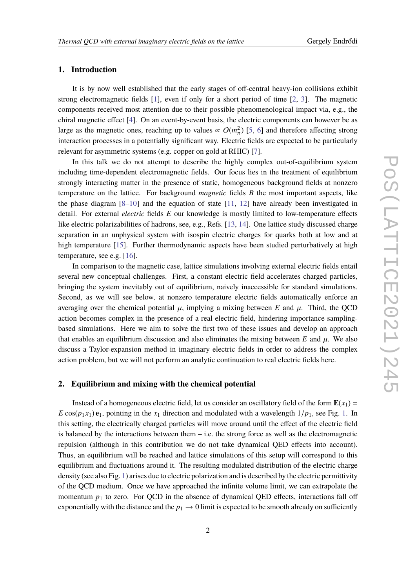#### **1. Introduction**

It is by now well established that the early stages of off-central heavy-ion collisions exhibit strong electromagnetic fields [\[1\]](#page-6-0), even if only for a short period of time [\[2,](#page-6-1) [3\]](#page-6-2). The magnetic components received most attention due to their possible phenomenological impact via, e.g., the chiral magnetic effect [\[4\]](#page-6-3). On an event-by-event basis, the electric components can however be as large as the magnetic ones, reaching up to values  $\propto O(m_\pi^2)$  [\[5,](#page-7-0) [6\]](#page-7-1) and therefore affecting strong π interaction processes in a potentially significant way. Electric fields are expected to be particularly relevant for asymmetric systems (e.g. copper on gold at RHIC) [\[7\]](#page-7-2).

In this talk we do not attempt to describe the highly complex out-of-equilibrium system including time-dependent electromagnetic fields. Our focus lies in the treatment of equilibrium strongly interacting matter in the presence of static, homogeneous background fields at nonzero temperature on the lattice. For background *magnetic* fields *B* the most important aspects, like the phase diagram  $[8-10]$  $[8-10]$  and the equation of state  $[11, 12]$  $[11, 12]$  $[11, 12]$  have already been investigated in detail. For external *electric* fields *E* our knowledge is mostly limited to low-temperature effects like electric polarizabilities of hadrons, see, e.g., Refs. [\[13,](#page-7-7) [14\]](#page-7-8). One lattice study discussed charge separation in an unphysical system with isospin electric charges for quarks both at low and at high temperature [\[15\]](#page-7-9). Further thermodynamic aspects have been studied perturbatively at high temperature, see e.g. [\[16\]](#page-7-10).

In comparison to the magnetic case, lattice simulations involving external electric fields entail several new conceptual challenges. First, a constant electric field accelerates charged particles, bringing the system inevitably out of equilibrium, naively inaccessible for standard simulations. Second, as we will see below, at nonzero temperature electric fields automatically enforce an averaging over the chemical potential  $\mu$ , implying a mixing between *E* and  $\mu$ . Third, the QCD action becomes complex in the presence of a real electric field, hindering importance samplingbased simulations. Here we aim to solve the first two of these issues and develop an approach that enables an equilibrium discussion and also eliminates the mixing between  $E$  and  $\mu$ . We also discuss a Taylor-expansion method in imaginary electric fields in order to address the complex action problem, but we will not perform an analytic continuation to real electric fields here.

#### <span id="page-1-0"></span>**2. Equilibrium and mixing with the chemical potential**

Instead of a homogeneous electric field, let us consider an oscillatory field of the form  $\mathbf{E}(x_1)$  = *E* cos( $p_1 x_1$ ) **e**<sub>1</sub>, pointing in the  $x_1$  direction and modulated with a wavelength  $1/p_1$ , see Fig. [1.](#page-2-0) In this setting, the electrically charged particles will move around until the effect of the electric field is balanced by the interactions between them  $-$  i.e. the strong force as well as the electromagnetic repulsion (although in this contribution we do not take dynamical QED effects into account). Thus, an equilibrium will be reached and lattice simulations of this setup will correspond to this equilibrium and fluctuations around it. The resulting modulated distribution of the electric charge density (see also Fig. [1\)](#page-2-0) arises due to electric polarization and is described by the electric permittivity of the QCD medium. Once we have approached the infinite volume limit, we can extrapolate the momentum  $p_1$  to zero. For QCD in the absence of dynamical QED effects, interactions fall off exponentially with the distance and the  $p_1 \rightarrow 0$  limit is expected to be smooth already on sufficiently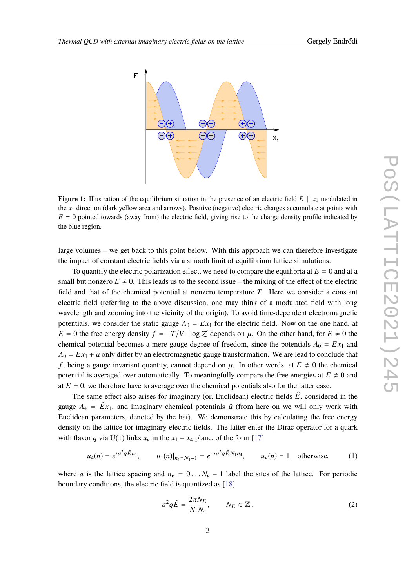<span id="page-2-0"></span>

**Figure 1:** Illustration of the equilibrium situation in the presence of an electric field  $E \parallel x_1$  modulated in the *x*<sup>1</sup> direction (dark yellow area and arrows). Positive (negative) electric charges accumulate at points with  $E = 0$  pointed towards (away from) the electric field, giving rise to the charge density profile indicated by the blue region.

large volumes – we get back to this point below. With this approach we can therefore investigate the impact of constant electric fields via a smooth limit of equilibrium lattice simulations.

To quantify the electric polarization effect, we need to compare the equilibria at  $E = 0$  and at a small but nonzero  $E \neq 0$ . This leads us to the second issue – the mixing of the effect of the electric field and that of the chemical potential at nonzero temperature *T*. Here we consider a constant electric field (referring to the above discussion, one may think of a modulated field with long wavelength and zooming into the vicinity of the origin). To avoid time-dependent electromagnetic potentials, we consider the static gauge  $A_0 = Ex_1$  for the electric field. Now on the one hand, at  $E = 0$  the free energy density  $f = -T/V \cdot \log Z$  depends on  $\mu$ . On the other hand, for  $E \neq 0$  the chemical potential becomes a mere gauge degree of freedom, since the potentials  $A_0 = Ex_1$  and  $A_0 = E x_1 + \mu$  only differ by an electromagnetic gauge transformation. We are lead to conclude that *f*, being a gauge invariant quantity, cannot depend on  $\mu$ . In other words, at  $E \neq 0$  the chemical potential is averaged over automatically. To meaningfully compare the free energies at  $E \neq 0$  and at  $E = 0$ , we therefore have to average over the chemical potentials also for the latter case.

The same effect also arises for imaginary (or, Euclidean) electric fields  $\hat{E}$ , considered in the gauge  $A_4 = \hat{E}x_1$ , and imaginary chemical potentials  $\hat{\mu}$  (from here on we will only work with Euclidean parameters, denoted by the hat). We demonstrate this by calculating the free energy density on the lattice for imaginary electric fields. The latter enter the Dirac operator for a quark with flavor *q* via U(1) links  $u<sub>v</sub>$  in the  $x<sub>1</sub> - x<sub>4</sub>$  plane, of the form [\[17\]](#page-7-11)

$$
u_4(n) = e^{ia^2q\hat{E}n_1}, \qquad u_1(n)|_{n_1=N_1-1} = e^{-ia^2q\hat{E}N_1n_4}, \qquad u_\nu(n) = 1 \quad \text{otherwise}, \tag{1}
$$

where *a* is the lattice spacing and  $n_v = 0 \dots N_v - 1$  label the sites of the lattice. For periodic boundary conditions, the electric field is quantized as [\[18\]](#page-7-12)

<span id="page-2-1"></span>
$$
a^2 q \hat{E} = \frac{2\pi N_E}{N_1 N_4}, \qquad N_E \in \mathbb{Z} \,. \tag{2}
$$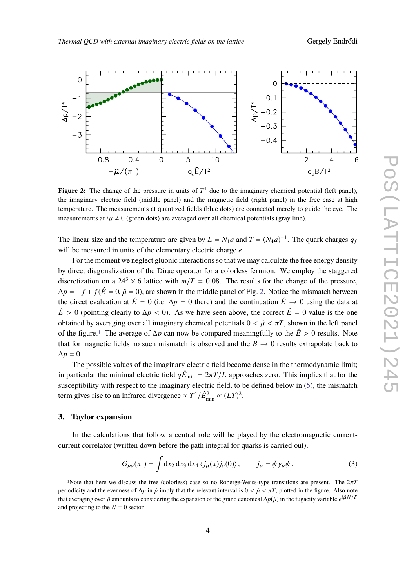<span id="page-3-0"></span>

**Figure 2:** The change of the pressure in units of  $T<sup>4</sup>$  due to the imaginary chemical potential (left panel), the imaginary electric field (middle panel) and the magnetic field (right panel) in the free case at high temperature. The measurements at quantized fields (blue dots) are connected merely to guide the eye. The measurements at  $i\mu \neq 0$  (green dots) are averaged over all chemical potentials (gray line).

The linear size and the temperature are given by  $L = N_1 a$  and  $T = (N_4 a)^{-1}$ . The quark charges  $q_j$ will be measured in units of the elementary electric charge *e*.

For the moment we neglect gluonic interactions so that we may calculate the free energy density by direct diagonalization of the Dirac operator for a colorless fermion. We employ the staggered discretization on a  $24^3 \times 6$  lattice with  $m/T = 0.08$ . The results for the change of the pressure,  $\Delta p = -f + f(\hat{E} = 0, \hat{\mu} = 0)$ , are shown in the middle panel of Fig. [2.](#page-3-0) Notice the mismatch between the direct evaluation at  $\hat{E} = 0$  (i.e.  $\Delta p = 0$  there) and the continuation  $\hat{E} \rightarrow 0$  using the data at  $\hat{E} > 0$  (pointing clearly to  $\Delta p < 0$ ). As we have seen above, the correct  $\hat{E} = 0$  value is the one obtained by averaging over all imaginary chemical potentials  $0 < \hat{\mu} < \pi T$ , shown in the left panel of the figure.[1](#page-3-1) The average of <sup>∆</sup>*<sup>p</sup>* can now be compared meaningfully to the *<sup>E</sup>*<sup>ˆ</sup> > <sup>0</sup> results. Note that for magnetic fields no such mismatch is observed and the  $B \to 0$  results extrapolate back to  $\Delta p = 0$ .

The possible values of the imaginary electric field become dense in the thermodynamic limit; in particular the minimal electric field  $q\hat{E}_{min} = 2\pi T/L$  approaches zero. This implies that for the susceptibility with respect to the imaginary electric field, to be defined below in [\(5\)](#page-4-0), the mismatch term gives rise to an infrared divergence  $\propto T^4/\hat{E}_{\text{min}}^2 \propto (LT)^2$ .

#### **3. Taylor expansion**

In the calculations that follow a central role will be played by the electromagnetic currentcurrent correlator (written down before the path integral for quarks is carried out),

<span id="page-3-2"></span>
$$
G_{\mu\nu}(x_1) = \int dx_2 dx_3 dx_4 \langle j_\mu(x) j_\nu(0) \rangle, \qquad j_\mu = \bar{\psi} \gamma_\mu \psi. \tag{3}
$$

<span id="page-3-1"></span><sup>1</sup>Note that here we discuss the free (colorless) case so no Roberge-Weiss-type transitions are present. The <sup>2</sup>π*<sup>T</sup>* periodicity and the evenness of  $\Delta p$  in  $\hat{\mu}$  imply that the relevant interval is  $0 < \hat{\mu} < \pi T$ , plotted in the figure. Also note that averaging over  $\hat{\mu}$  amounts to considering the expansion of the grand canonical  $\Delta p(\hat{\mu})$  in the fugacity variable  $e^{i\hat{\mu}N/T}$ and projecting to the  $N = 0$  sector.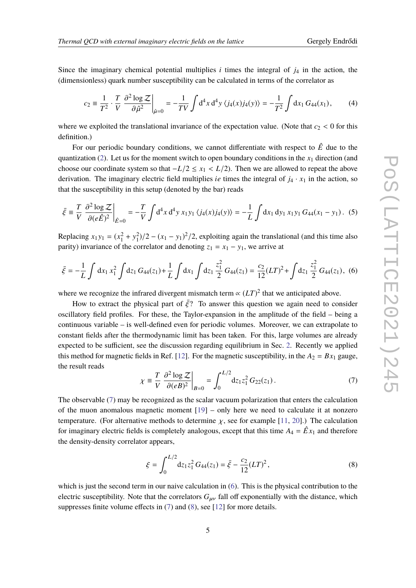Since the imaginary chemical potential multiplies  $i$  times the integral of  $j<sub>4</sub>$  in the action, the (dimensionless) quark number susceptibility can be calculated in terms of the correlator as

$$
c_2 \equiv \frac{1}{T^2} \cdot \frac{T}{V} \left. \frac{\partial^2 \log Z}{\partial \hat{\mu}^2} \right|_{\hat{\mu}=0} = -\frac{1}{TV} \int d^4 x \, d^4 y \, \langle j_4(x) j_4(y) \rangle = -\frac{1}{T^2} \int dx_1 \, G_{44}(x_1), \tag{4}
$$

where we exploited the translational invariance of the expectation value. (Note that  $c_2 < 0$  for this definition.)

For our periodic boundary conditions, we cannot differentiate with respect to  $\hat{E}$  due to the quantization  $(2)$ . Let us for the moment switch to open boundary conditions in the  $x_1$  direction (and choose our coordinate system so that  $-L/2 \le x_1 < L/2$ ). Then we are allowed to repeat the above derivation. The imaginary electric field multiplies *ie* times the integral of  $j_4 \cdot x_1$  in the action, so that the susceptibility in this setup (denoted by the bar) reads

<span id="page-4-0"></span>
$$
\bar{\xi} \equiv \frac{T}{V} \left. \frac{\partial^2 \log \mathcal{Z}}{\partial (e\hat{E})^2} \right|_{\hat{E}=0} = -\frac{T}{V} \int d^4 x \, d^4 y \, x_1 y_1 \, \langle j_4(x) j_4(y) \rangle = -\frac{1}{L} \int dx_1 \, dy_1 \, x_1 y_1 \, G_{44}(x_1 - y_1). \tag{5}
$$

Replacing  $x_1y_1 = (x_1^2 + y_1^2)/2 - (x_1 - y_1)^2/2$ , exploiting again the translational (and this time also parity) invariance of the correlator and denoting  $z_1 = x_1 - y_1$ , we arrive at

<span id="page-4-2"></span>
$$
\bar{\xi} = -\frac{1}{L} \int dx_1 x_1^2 \int dz_1 G_{44}(z_1) + \frac{1}{L} \int dx_1 \int dz_1 \frac{z_1^2}{2} G_{44}(z_1) = \frac{c_2}{12} (LT)^2 + \int dz_1 \frac{z_1^2}{2} G_{44}(z_1), \tag{6}
$$

where we recognize the infrared divergent mismatch term  $\propto (LT)^2$  that we anticipated above.

How to extract the physical part of  $\bar{\xi}$ ? To answer this question we again need to consider oscillatory field profiles. For these, the Taylor-expansion in the amplitude of the field – being a continuous variable – is well-defined even for periodic volumes. Moreover, we can extrapolate to constant fields after the thermodynamic limit has been taken. For this, large volumes are already expected to be sufficient, see the discussion regarding equilibrium in Sec. [2.](#page-1-0) Recently we applied this method for magnetic fields in Ref. [\[12\]](#page-7-6). For the magnetic susceptibility, in the  $A_2 = Bx_1$  gauge, the result reads

<span id="page-4-1"></span>
$$
\chi \equiv \frac{T}{V} \left. \frac{\partial^2 \log Z}{\partial (eB)^2} \right|_{B=0} = \int_0^{L/2} dz_1 z_1^2 G_{22}(z_1).
$$
 (7)

The observable [\(7\)](#page-4-1) may be recognized as the scalar vacuum polarization that enters the calculation of the muon anomalous magnetic moment  $[19]$  – only here we need to calculate it at nonzero temperature. (For alternative methods to determine  $\chi$ , see for example [\[11,](#page-7-5) [20\]](#page-8-0).) The calculation for imaginary electric fields is completely analogous, except that this time  $A_4 = \hat{E}x_1$  and therefore the density-density correlator appears,

<span id="page-4-3"></span>
$$
\xi = \int_0^{L/2} dz_1 z_1^2 G_{44}(z_1) = \bar{\xi} - \frac{c_2}{12} (LT)^2, \qquad (8)
$$

which is just the second term in our naive calculation in [\(6\)](#page-4-2). This is the physical contribution to the electric susceptibility. Note that the correlators  $G_{\mu\nu}$  fall off exponentially with the distance, which suppresses finite volume effects in [\(7\)](#page-4-1) and [\(8\)](#page-4-3), see [\[12\]](#page-7-6) for more details.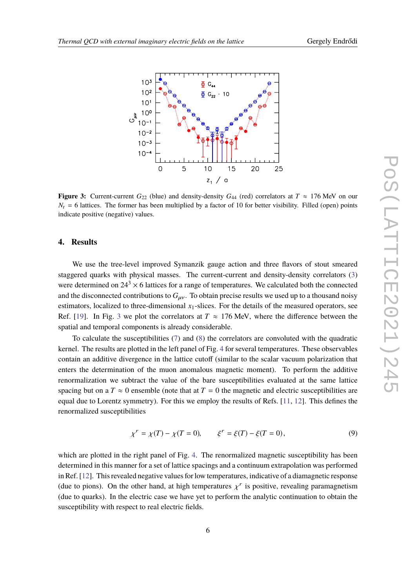<span id="page-5-0"></span>

**Figure 3:** Current-current  $G_{22}$  (blue) and density-density  $G_{44}$  (red) correlators at  $T \approx 176$  MeV on our  $N<sub>t</sub> = 6$  lattices. The former has been multiplied by a factor of 10 for better visibility. Filled (open) points indicate positive (negative) values.

### **4. Results**

We use the tree-level improved Symanzik gauge action and three flavors of stout smeared staggered quarks with physical masses. The current-current and density-density correlators [\(3\)](#page-3-2) were determined on  $24<sup>3</sup> \times 6$  lattices for a range of temperatures. We calculated both the connected and the disconnected contributions to  $G_{\mu\nu}$ . To obtain precise results we used up to a thousand noisy estimators, localized to three-dimensional  $x_1$ -slices. For the details of the measured operators, see Ref. [\[19\]](#page-7-13). In Fig. [3](#page-5-0) we plot the correlators at  $T \approx 176$  MeV, where the difference between the spatial and temporal components is already considerable.

To calculate the susceptibilities [\(7\)](#page-4-1) and [\(8\)](#page-4-3) the correlators are convoluted with the quadratic kernel. The results are plotted in the left panel of Fig. [4](#page-6-4) for several temperatures. These observables contain an additive divergence in the lattice cutoff (similar to the scalar vacuum polarization that enters the determination of the muon anomalous magnetic moment). To perform the additive renormalization we subtract the value of the bare susceptibilities evaluated at the same lattice spacing but on a  $T \approx 0$  ensemble (note that at  $T = 0$  the magnetic and electric susceptibilities are equal due to Lorentz symmetry). For this we employ the results of Refs. [\[11,](#page-7-5) [12\]](#page-7-6). This defines the renormalized susceptibilities

$$
\chi^r = \chi(T) - \chi(T = 0), \qquad \xi^r = \xi(T) - \xi(T = 0), \tag{9}
$$

which are plotted in the right panel of Fig. [4.](#page-6-4) The renormalized magnetic susceptibility has been determined in this manner for a set of lattice spacings and a continuum extrapolation was performed in Ref. [\[12\]](#page-7-6). This revealed negative values for low temperatures, indicative of a diamagnetic response (due to pions). On the other hand, at high temperatures  $\chi^r$  is positive, revealing paramagnetism (due to quarks). In the electric case we have yet to perform the analytic continuation to obtain the susceptibility with respect to real electric fields.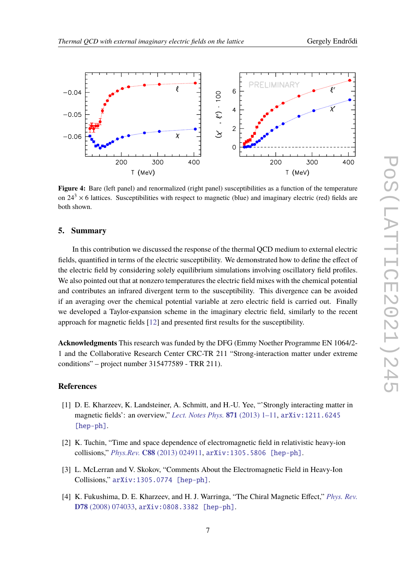<span id="page-6-4"></span>

**Figure 4:** Bare (left panel) and renormalized (right panel) susceptibilities as a function of the temperature on  $24<sup>3</sup> \times 6$  lattices. Susceptibilities with respect to magnetic (blue) and imaginary electric (red) fields are both shown.

#### **5. Summary**

In this contribution we discussed the response of the thermal QCD medium to external electric fields, quantified in terms of the electric susceptibility. We demonstrated how to define the effect of the electric field by considering solely equilibrium simulations involving oscillatory field profiles. We also pointed out that at nonzero temperatures the electric field mixes with the chemical potential and contributes an infrared divergent term to the susceptibility. This divergence can be avoided if an averaging over the chemical potential variable at zero electric field is carried out. Finally we developed a Taylor-expansion scheme in the imaginary electric field, similarly to the recent approach for magnetic fields [\[12\]](#page-7-6) and presented first results for the susceptibility.

**Acknowledgments** This research was funded by the DFG (Emmy Noether Programme EN 1064/2- 1 and the Collaborative Research Center CRC-TR 211 "Strong-interaction matter under extreme conditions" – project number 315477589 - TRR 211).

## **References**

- <span id="page-6-0"></span>[1] D. E. Kharzeev, K. Landsteiner, A. Schmitt, and H.-U. Yee, "'Strongly interacting matter in magnetic fields': an overview," *[Lect. Notes Phys.](http://dx.doi.org/10.1007/978-3-642-37305-3_1)* **871** (2013) 1–11, [arXiv:1211.6245](http://arxiv.org/abs/1211.6245) [\[hep-ph\]](http://arxiv.org/abs/1211.6245).
- <span id="page-6-1"></span>[2] K. Tuchin, "Time and space dependence of electromagnetic field in relativistic heavy-ion collisions," *Phys.Rev.* **C88** [\(2013\) 024911,](http://dx.doi.org/10.1103/PhysRevC.88.024911) [arXiv:1305.5806 \[hep-ph\]](http://arxiv.org/abs/1305.5806).
- <span id="page-6-2"></span>[3] L. McLerran and V. Skokov, "Comments About the Electromagnetic Field in Heavy-Ion Collisions," [arXiv:1305.0774 \[hep-ph\]](http://arxiv.org/abs/1305.0774).
- <span id="page-6-3"></span>[4] K. Fukushima, D. E. Kharzeev, and H. J. Warringa, "The Chiral Magnetic Effect," *[Phys. Rev.](http://dx.doi.org/10.1103/PhysRevD.78.074033)* **D78** [\(2008\) 074033,](http://dx.doi.org/10.1103/PhysRevD.78.074033) [arXiv:0808.3382 \[hep-ph\]](http://arxiv.org/abs/0808.3382).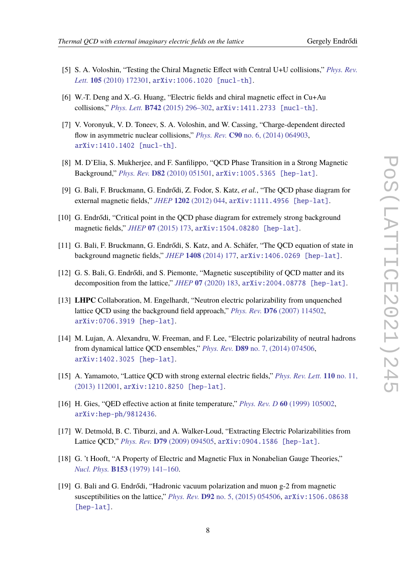- <span id="page-7-0"></span>[5] S. A. Voloshin, "Testing the Chiral Magnetic Effect with Central U+U collisions," *[Phys. Rev.](http://dx.doi.org/10.1103/PhysRevLett.105.172301) Lett.* **105** [\(2010\) 172301,](http://dx.doi.org/10.1103/PhysRevLett.105.172301) [arXiv:1006.1020 \[nucl-th\]](http://arxiv.org/abs/1006.1020).
- <span id="page-7-1"></span>[6] W.-T. Deng and X.-G. Huang, "Electric fields and chiral magnetic effect in Cu+Au collisions," *Phys. Lett.* **B742** [\(2015\) 296–302,](http://dx.doi.org/10.1016/j.physletb.2015.01.050) [arXiv:1411.2733 \[nucl-th\]](http://arxiv.org/abs/1411.2733).
- <span id="page-7-2"></span>[7] V. Voronyuk, V. D. Toneev, S. A. Voloshin, and W. Cassing, "Charge-dependent directed flow in asymmetric nuclear collisions," *Phys. Rev.* **C90** [no. 6, \(2014\) 064903,](http://dx.doi.org/10.1103/PhysRevC.90.064903) [arXiv:1410.1402 \[nucl-th\]](http://arxiv.org/abs/1410.1402).
- <span id="page-7-3"></span>[8] M. D'Elia, S. Mukherjee, and F. Sanfilippo, "QCD Phase Transition in a Strong Magnetic Background," *Phys. Rev.* **D82** [\(2010\) 051501,](http://dx.doi.org/10.1103/PhysRevD.82.051501) [arXiv:1005.5365 \[hep-lat\]](http://arxiv.org/abs/1005.5365).
- [9] G. Bali, F. Bruckmann, G. Endrődi, Z. Fodor, S. Katz, *et al.*, "The QCD phase diagram for external magnetic fields," *JHEP* **1202** [\(2012\) 044,](http://dx.doi.org/10.1007/JHEP02(2012)044) [arXiv:1111.4956 \[hep-lat\]](http://arxiv.org/abs/1111.4956).
- <span id="page-7-4"></span>[10] G. Endrődi, "Critical point in the QCD phase diagram for extremely strong background magnetic fields," *JHEP* **07** [\(2015\) 173,](http://dx.doi.org/10.1007/JHEP07(2015)173) [arXiv:1504.08280 \[hep-lat\]](http://arxiv.org/abs/1504.08280).
- <span id="page-7-5"></span>[11] G. Bali, F. Bruckmann, G. Endrődi, S. Katz, and A. Schäfer, "The QCD equation of state in background magnetic fields," *JHEP* **1408** [\(2014\) 177,](http://dx.doi.org/10.1007/JHEP08(2014)177) [arXiv:1406.0269 \[hep-lat\]](http://arxiv.org/abs/1406.0269).
- <span id="page-7-6"></span>[12] G. S. Bali, G. Endrődi, and S. Piemonte, "Magnetic susceptibility of QCD matter and its decomposition from the lattice," *JHEP* **07** [\(2020\) 183,](http://dx.doi.org/10.1007/JHEP07(2020)183) [arXiv:2004.08778 \[hep-lat\]](http://arxiv.org/abs/2004.08778).
- <span id="page-7-7"></span>[13] **LHPC** Collaboration, M. Engelhardt, "Neutron electric polarizability from unquenched lattice QCD using the background field approach," *Phys. Rev.* **D76** [\(2007\) 114502,](http://dx.doi.org/10.1103/PhysRevD.76.114502) [arXiv:0706.3919 \[hep-lat\]](http://arxiv.org/abs/0706.3919).
- <span id="page-7-8"></span>[14] M. Lujan, A. Alexandru, W. Freeman, and F. Lee, "Electric polarizability of neutral hadrons from dynamical lattice QCD ensembles," *Phys. Rev.* **D89** [no. 7, \(2014\) 074506,](http://dx.doi.org/10.1103/PhysRevD.89.074506) [arXiv:1402.3025 \[hep-lat\]](http://arxiv.org/abs/1402.3025).
- <span id="page-7-9"></span>[15] A. Yamamoto, "Lattice QCD with strong external electric fields," *[Phys. Rev. Lett.](http://dx.doi.org/10.1103/PhysRevLett.110.112001)* **110** no. 11, [\(2013\) 112001,](http://dx.doi.org/10.1103/PhysRevLett.110.112001) [arXiv:1210.8250 \[hep-lat\]](http://arxiv.org/abs/1210.8250).
- <span id="page-7-10"></span>[16] H. Gies, "QED effective action at finite temperature," *Phys. Rev. D* **60** [\(1999\) 105002,](http://dx.doi.org/10.1103/PhysRevD.60.105002) [arXiv:hep-ph/9812436](http://arxiv.org/abs/hep-ph/9812436).
- <span id="page-7-11"></span>[17] W. Detmold, B. C. Tiburzi, and A. Walker-Loud, "Extracting Electric Polarizabilities from Lattice QCD," *Phys. Rev.* **D79** [\(2009\) 094505,](http://dx.doi.org/10.1103/PhysRevD.79.094505) [arXiv:0904.1586 \[hep-lat\]](http://arxiv.org/abs/0904.1586).
- <span id="page-7-12"></span>[18] G. 't Hooft, "A Property of Electric and Magnetic Flux in Nonabelian Gauge Theories," *Nucl. Phys.* **B153** [\(1979\) 141–160.](http://dx.doi.org/10.1016/0550-3213(79)90595-9)
- <span id="page-7-13"></span>[19] G. Bali and G. Endrődi, "Hadronic vacuum polarization and muon g-2 from magnetic susceptibilities on the lattice," *Phys. Rev.* **D92** [no. 5, \(2015\) 054506,](http://dx.doi.org/10.1103/PhysRevD.92.054506) [arXiv:1506.08638](http://arxiv.org/abs/1506.08638) [\[hep-lat\]](http://arxiv.org/abs/1506.08638).